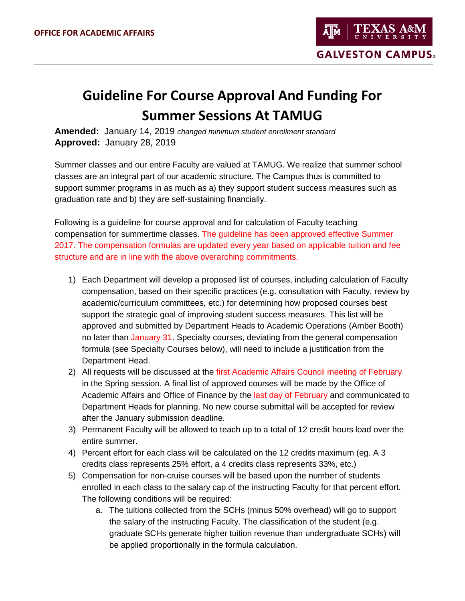## **Guideline For Course Approval And Funding For Summer Sessions At TAMUG**

**Amended:** January 14, 2019 *changed minimum student enrollment standard* **Approved:** January 28, 2019

Summer classes and our entire Faculty are valued at TAMUG. We realize that summer school classes are an integral part of our academic structure. The Campus thus is committed to support summer programs in as much as a) they support student success measures such as graduation rate and b) they are self-sustaining financially.

Following is a guideline for course approval and for calculation of Faculty teaching compensation for summertime classes. The guideline has been approved effective Summer 2017. The compensation formulas are updated every year based on applicable tuition and fee structure and are in line with the above overarching commitments.

- 1) Each Department will develop a proposed list of courses, including calculation of Faculty compensation, based on their specific practices (e.g. consultation with Faculty, review by academic/curriculum committees, etc.) for determining how proposed courses best support the strategic goal of improving student success measures. This list will be approved and submitted by Department Heads to Academic Operations (Amber Booth) no later than January 31. Specialty courses, deviating from the general compensation formula (see Specialty Courses below), will need to include a justification from the Department Head.
- 2) All requests will be discussed at the first Academic Affairs Council meeting of February in the Spring session. A final list of approved courses will be made by the Office of Academic Affairs and Office of Finance by the last day of February and communicated to Department Heads for planning. No new course submittal will be accepted for review after the January submission deadline.
- 3) Permanent Faculty will be allowed to teach up to a total of 12 credit hours load over the entire summer.
- 4) Percent effort for each class will be calculated on the 12 credits maximum (eg. A 3 credits class represents 25% effort, a 4 credits class represents 33%, etc.)
- 5) Compensation for non-cruise courses will be based upon the number of students enrolled in each class to the salary cap of the instructing Faculty for that percent effort. The following conditions will be required:
	- a. The tuitions collected from the SCHs (minus 50% overhead) will go to support the salary of the instructing Faculty. The classification of the student (e.g. graduate SCHs generate higher tuition revenue than undergraduate SCHs) will be applied proportionally in the formula calculation.